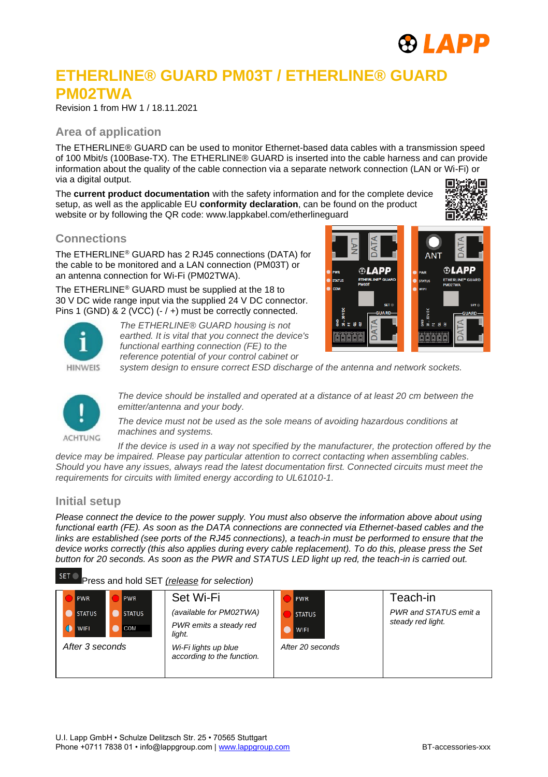

# **ETHERLINE® GUARD PM03T / ETHERLINE® GUARD PM02TWA**

Revision 1 from HW 1 / 18.11.2021

### **Area of application**

The ETHERLINE® GUARD can be used to monitor Ethernet-based data cables with a transmission speed of 100 Mbit/s (100Base-TX). The ETHERLINE® GUARD is inserted into the cable harness and can provide information about the quality of the cable connection via a separate network connection (LAN or Wi-Fi) or via a digital output.

The **current product documentation** with the safety information and for the complete device setup, as well as the applicable EU **conformity declaration**, can be found on the product website or by following the QR code: www.lappkabel.com/etherlineguard



# **Connections**

The ETHERLINE® GUARD has 2 RJ45 connections (DATA) for the cable to be monitored and a LAN connection (PM03T) or an antenna connection for Wi-Fi (PM02TWA).

The ETHERLINE® GUARD must be supplied at the 18 to 30 V DC wide range input via the supplied 24 V DC connector. Pins 1 (GND) & 2 (VCC) (-/+) must be correctly connected.



*The ETHERLINE® GUARD housing is not earthed. It is vital that you connect the device's functional earthing connection (FE) to the reference potential of your control cabinet or* 



*system design to ensure correct ESD discharge of the antenna and network sockets.*



*The device should be installed and operated at a distance of at least 20 cm between the emitter/antenna and your body.*

*The device must not be used as the sole means of avoiding hazardous conditions at machines and systems.*

*If the device is used in a way not specified by the manufacturer, the protection offered by the device may be impaired. Please pay particular attention to correct contacting when assembling cables. Should you have any issues, always read the latest documentation first. Connected circuits must meet the requirements for circuits with limited energy according to UL61010-1.*

### **Initial setup**

*Please connect the device to the power supply. You must also observe the information above about using functional earth (FE). As soon as the DATA connections are connected via Ethernet-based cables and the links are established (see ports of the RJ45 connections), a teach-in must be performed to ensure that the device works correctly (this also applies during every cable replacement). To do this, please press the Set button for 20 seconds. As soon as the PWR and STATUS LED light up red, the teach-in is carried out.* 

#### SET<sup>O</sup> Press and hold SET *(release for selection)*

| <b>PWR</b><br><b>PWR</b>                                    | Set Wi-Fi                                                   | PWR                          | Teach-in                                   |
|-------------------------------------------------------------|-------------------------------------------------------------|------------------------------|--------------------------------------------|
| <b>STATUS</b><br><b>STATUS</b><br><b>COM</b><br><b>WIFI</b> | (available for PM02TWA)<br>PWR emits a steady red<br>light. | <b>STATUS</b><br><b>WIFI</b> | PWR and STATUS emit a<br>steady red light. |
| After 3 seconds                                             | Wi-Fi lights up blue<br>according to the function.          | After 20 seconds             |                                            |